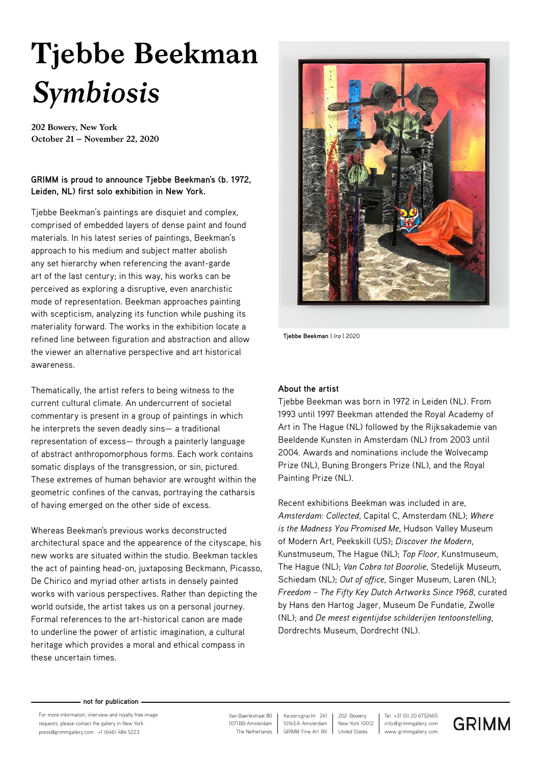# **Tjebbe Beekman** *Symbiosis*

**202 Bowery, New York October 21 – November 22, 2020**

# **GRIMM is proud to announce Tjebbe Beekman's (b. 1972, Leiden, NL) first solo exhibition in New York.**

Tjebbe Beekman's paintings are disquiet and complex, comprised of embedded layers of dense paint and found materials. In his latest series of paintings, Beekman's approach to his medium and subject matter abolish any set hierarchy when referencing the avant-garde art of the last century; in this way, his works can be perceived as exploring a disruptive, even anarchistic mode of representation. Beekman approaches painting with scepticism, analyzing its function while pushing its materiality forward. The works in the exhibition locate a refined line between figuration and abstraction and allow the viewer an alternative perspective and art historical awareness.

Thematically, the artist refers to being witness to the current cultural climate. An undercurrent of societal commentary is present in a group of paintings in which he interprets the seven deadly sins— a traditional representation of excess— through a painterly language of abstract anthropomorphous forms. Each work contains somatic displays of the transgression, or sin, pictured. These extremes of human behavior are wrought within the geometric confines of the canvas, portraying the catharsis of having emerged on the other side of excess.

Whereas Beekman's previous works deconstructed architectural space and the appearence of the cityscape, his new works are situated within the studio. Beekman tackles the act of painting head-on, juxtaposing Beckmann, Picasso, De Chirico and myriad other artists in densely painted works with various perspectives. Rather than depicting the world outside, the artist takes us on a personal journey. Formal references to the art-historical canon are made to underline the power of artistic imagination, a cultural heritage which provides a moral and ethical compass in these uncertain times.



**Tjebbe Beekman** | *Ira* | 2020

## **About the artist**

Tjebbe Beekman was born in 1972 in Leiden (NL). From 1993 until 1997 Beekman attended the Royal Academy of Art in The Hague (NL) followed by the Rijksakademie van Beeldende Kunsten in Amsterdam (NL) from 2003 until 2004. Awards and nominations include the Wolvecamp Prize (NL), Buning Brongers Prize (NL), and the Royal Painting Prize (NL).

Recent exhibitions Beekman was included in are, *Amsterdam: Collected*, Capital C, Amsterdam (NL); *Where is the Madness You Promised Me*, Hudson Valley Museum of Modern Art, Peekskill (US); *Discover the Modern*, Kunstmuseum, The Hague (NL); *Top Floor*, Kunstmuseum, The Hague (NL); *Van Cobra tot Boorolie*, Stedelijk Museum, Schiedam (NL); *Out of office*, Singer Museum, Laren (NL); *Freedom – The Fifty Key Dutch Artworks Since 1968*, curated by Hans den Hartog Jager, Museum De Fundatie, Zwolle (NL); and *De meest eigentijdse schilderijen tentoonstelling*, Dordrechts Museum, Dordrecht (NL).

#### **not for publication**

For more information, interview and royalty free image requests, please contact the gallery in New York: press@grimmgallery.com +1 (646) 484 5223 www.grimmgallery.com

 1071BB Amsterdam Van Baerlestraat 80 The Netherlands

1016EA Amsterdam Keizersgracht 241 GRIMM Fine Art BV

info@grimmgallery.com Tel +31 (0) 20 6752465 New York 10012 202 Bowery United States

**GRIMM**